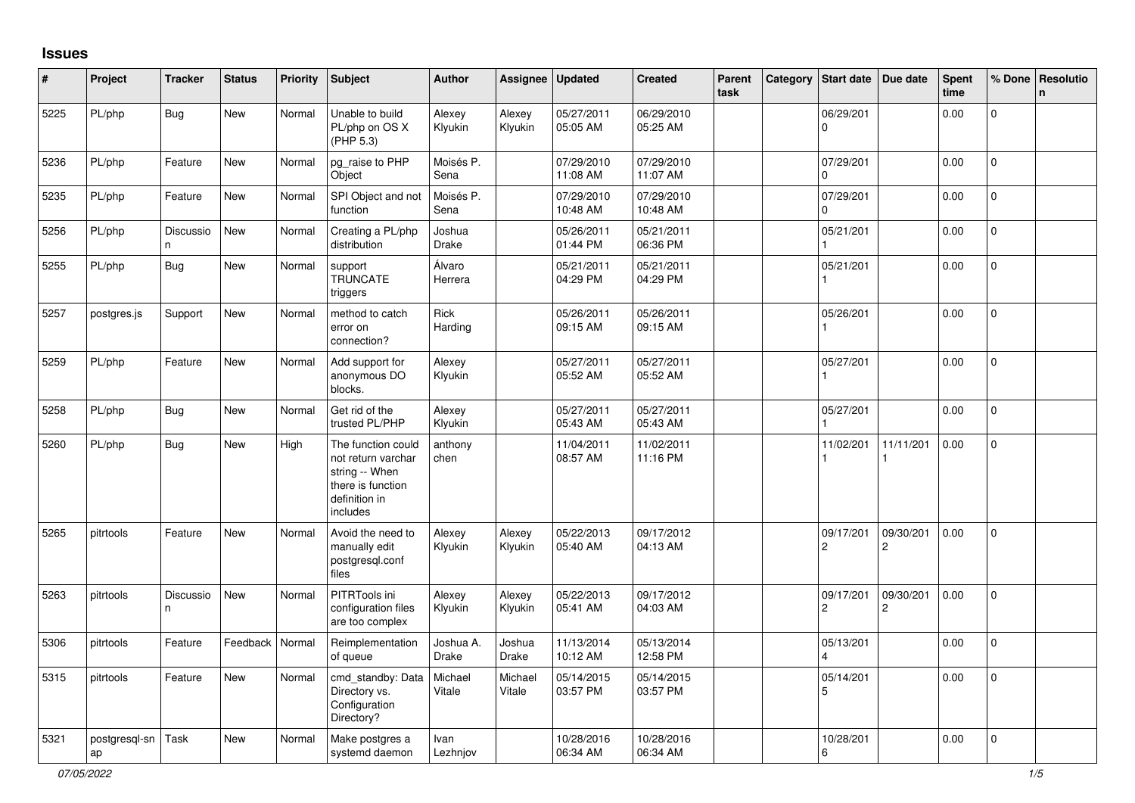## **Issues**

| $\sharp$ | Project             | <b>Tracker</b>  | <b>Status</b> | <b>Priority</b> | <b>Subject</b>                                                                                               | <b>Author</b>          | <b>Assignee</b>   | <b>Updated</b>         | <b>Created</b>         | Parent<br>task | Category Start date                  | Due date                    | <b>Spent</b><br>time | % Done       | Resolutio<br>n |
|----------|---------------------|-----------------|---------------|-----------------|--------------------------------------------------------------------------------------------------------------|------------------------|-------------------|------------------------|------------------------|----------------|--------------------------------------|-----------------------------|----------------------|--------------|----------------|
| 5225     | PL/php              | <b>Bug</b>      | <b>New</b>    | Normal          | Unable to build<br>PL/php on OS X<br>(PHP 5.3)                                                               | Alexey<br>Klyukin      | Alexey<br>Klyukin | 05/27/2011<br>05:05 AM | 06/29/2010<br>05:25 AM |                | 06/29/201<br>$\mathbf 0$             |                             | 0.00                 | $\mathbf{0}$ |                |
| 5236     | PL/php              | Feature         | New           | Normal          | pg_raise to PHP<br>Object                                                                                    | Moisés P.<br>Sena      |                   | 07/29/2010<br>11:08 AM | 07/29/2010<br>11:07 AM |                | 07/29/201<br>$\Omega$                |                             | 0.00                 | $\Omega$     |                |
| 5235     | PL/php              | Feature         | New           | Normal          | SPI Object and not<br>function                                                                               | Moisés P.<br>Sena      |                   | 07/29/2010<br>10:48 AM | 07/29/2010<br>10:48 AM |                | 07/29/201<br>$\Omega$                |                             | 0.00                 | $\mathbf 0$  |                |
| 5256     | PL/php              | Discussio<br>n. | New           | Normal          | Creating a PL/php<br>distribution                                                                            | Joshua<br><b>Drake</b> |                   | 05/26/2011<br>01:44 PM | 05/21/2011<br>06:36 PM |                | 05/21/201                            |                             | 0.00                 | $\mathbf 0$  |                |
| 5255     | PL/php              | <b>Bug</b>      | New           | Normal          | support<br><b>TRUNCATE</b><br>triggers                                                                       | Álvaro<br>Herrera      |                   | 05/21/2011<br>04:29 PM | 05/21/2011<br>04:29 PM |                | 05/21/201                            |                             | 0.00                 | $\Omega$     |                |
| 5257     | postgres.js         | Support         | New           | Normal          | method to catch<br>error on<br>connection?                                                                   | Rick<br>Harding        |                   | 05/26/2011<br>09:15 AM | 05/26/2011<br>09:15 AM |                | 05/26/201                            |                             | 0.00                 | 0            |                |
| 5259     | PL/php              | Feature         | New           | Normal          | Add support for<br>anonymous DO<br>blocks.                                                                   | Alexey<br>Klyukin      |                   | 05/27/2011<br>05:52 AM | 05/27/2011<br>05:52 AM |                | 05/27/201                            |                             | 0.00                 | $\mathbf 0$  |                |
| 5258     | PL/php              | <b>Bug</b>      | New           | Normal          | Get rid of the<br>trusted PL/PHP                                                                             | Alexey<br>Klyukin      |                   | 05/27/2011<br>05:43 AM | 05/27/2011<br>05:43 AM |                | 05/27/201                            |                             | 0.00                 | $\mathbf 0$  |                |
| 5260     | PL/php              | <b>Bug</b>      | New           | High            | The function could<br>not return varchar<br>string -- When<br>there is function<br>definition in<br>includes | anthony<br>chen        |                   | 11/04/2011<br>08:57 AM | 11/02/2011<br>11:16 PM |                | 11/02/201                            | 11/11/201                   | 0.00                 | $\Omega$     |                |
| 5265     | pitrtools           | Feature         | New           | Normal          | Avoid the need to<br>manually edit<br>postgresql.conf<br>files                                               | Alexey<br>Klyukin      | Alexey<br>Klyukin | 05/22/2013<br>05:40 AM | 09/17/2012<br>04:13 AM |                | 09/17/201<br>$\overline{2}$          | 09/30/201<br>$\overline{2}$ | 0.00                 | 0            |                |
| 5263     | pitrtools           | Discussio<br>n  | <b>New</b>    | Normal          | PITRTools ini<br>configuration files<br>are too complex                                                      | Alexey<br>Klyukin      | Alexey<br>Klyukin | 05/22/2013<br>05:41 AM | 09/17/2012<br>04:03 AM |                | 09/17/201<br>$\mathbf{2}$            | 09/30/201<br>$\overline{2}$ | 0.00                 | $\Omega$     |                |
| 5306     | pitrtools           | Feature         | Feedback      | Normal          | Reimplementation<br>of queue                                                                                 | Joshua A.<br>Drake     | Joshua<br>Drake   | 11/13/2014<br>10:12 AM | 05/13/2014<br>12:58 PM |                | 05/13/201<br>$\overline{\mathbf{A}}$ |                             | 0.00                 | $\Omega$     |                |
| 5315     | pitrtools           | Feature         | New           | Normal          | cmd_standby: Data<br>Directory vs.<br>Configuration<br>Directory?                                            | Michael<br>Vitale      | Michael<br>Vitale | 05/14/2015<br>03:57 PM | 05/14/2015<br>03:57 PM |                | 05/14/201<br>5                       |                             | 0.00                 | $\mathbf 0$  |                |
| 5321     | postgresql-sn<br>ap | Task            | New           | Normal          | Make postgres a<br>systemd daemon                                                                            | Ivan<br>Lezhnjov       |                   | 10/28/2016<br>06:34 AM | 10/28/2016<br>06:34 AM |                | 10/28/201<br>6                       |                             | 0.00                 | 0            |                |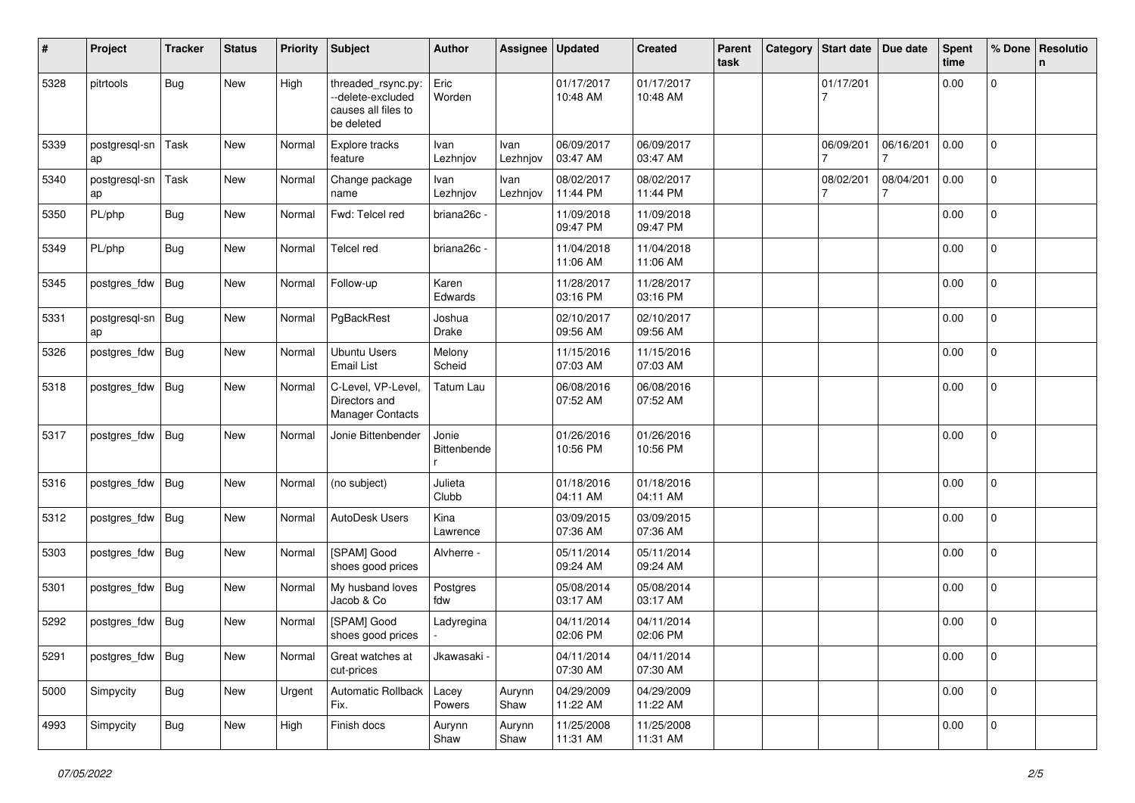| #    | Project             | <b>Tracker</b> | <b>Status</b> | <b>Priority</b> | <b>Subject</b>                                                               | Author               | Assignee         | <b>Updated</b>         | <b>Created</b>         | Parent<br>task | Category | <b>Start date</b> | Due date  | <b>Spent</b><br>time | % Done         | Resolutio<br>$\mathsf{n}$ |
|------|---------------------|----------------|---------------|-----------------|------------------------------------------------------------------------------|----------------------|------------------|------------------------|------------------------|----------------|----------|-------------------|-----------|----------------------|----------------|---------------------------|
| 5328 | pitrtools           | Bug            | <b>New</b>    | High            | threaded_rsync.py:<br>--delete-excluded<br>causes all files to<br>be deleted | Eric<br>Worden       |                  | 01/17/2017<br>10:48 AM | 01/17/2017<br>10:48 AM |                |          | 01/17/201         |           | 0.00                 | $\mathbf 0$    |                           |
| 5339 | postgresql-sn<br>ap | Task           | <b>New</b>    | Normal          | Explore tracks<br>feature                                                    | Ivan<br>Lezhnjov     | Ivan<br>Lezhnjov | 06/09/2017<br>03:47 AM | 06/09/2017<br>03:47 AM |                |          | 06/09/201         | 06/16/201 | 0.00                 | $\mathbf 0$    |                           |
| 5340 | postgresql-sn<br>ap | Task           | <b>New</b>    | Normal          | Change package<br>name                                                       | Ivan<br>Lezhnjov     | Ivan<br>Lezhnjov | 08/02/2017<br>11:44 PM | 08/02/2017<br>11:44 PM |                |          | 08/02/201         | 08/04/201 | 0.00                 | $\overline{0}$ |                           |
| 5350 | PL/php              | <b>Bug</b>     | <b>New</b>    | Normal          | Fwd: Telcel red                                                              | briana26c -          |                  | 11/09/2018<br>09:47 PM | 11/09/2018<br>09:47 PM |                |          |                   |           | 0.00                 | $\mathbf 0$    |                           |
| 5349 | PL/php              | Bug            | <b>New</b>    | Normal          | <b>Telcel red</b>                                                            | briana26c -          |                  | 11/04/2018<br>11:06 AM | 11/04/2018<br>11:06 AM |                |          |                   |           | 0.00                 | 0              |                           |
| 5345 | postgres_fdw        | Bug            | <b>New</b>    | Normal          | Follow-up                                                                    | Karen<br>Edwards     |                  | 11/28/2017<br>03:16 PM | 11/28/2017<br>03:16 PM |                |          |                   |           | 0.00                 | 0              |                           |
| 5331 | postgresql-sn<br>ap | Bug            | <b>New</b>    | Normal          | PgBackRest                                                                   | Joshua<br>Drake      |                  | 02/10/2017<br>09:56 AM | 02/10/2017<br>09:56 AM |                |          |                   |           | 0.00                 | $\mathbf 0$    |                           |
| 5326 | postgres_fdw        | Bug            | <b>New</b>    | Normal          | <b>Ubuntu Users</b><br><b>Email List</b>                                     | Melony<br>Scheid     |                  | 11/15/2016<br>07:03 AM | 11/15/2016<br>07:03 AM |                |          |                   |           | 0.00                 | $\mathbf 0$    |                           |
| 5318 | postgres_fdw        | Bug            | <b>New</b>    | Normal          | C-Level, VP-Level<br>Directors and<br><b>Manager Contacts</b>                | Tatum Lau            |                  | 06/08/2016<br>07:52 AM | 06/08/2016<br>07:52 AM |                |          |                   |           | 0.00                 | 0              |                           |
| 5317 | postgres_fdw        | Bug            | <b>New</b>    | Normal          | Jonie Bittenbender                                                           | Jonie<br>Bittenbende |                  | 01/26/2016<br>10:56 PM | 01/26/2016<br>10:56 PM |                |          |                   |           | 0.00                 | 0              |                           |
| 5316 | postgres_fdw        | Bug            | <b>New</b>    | Normal          | (no subject)                                                                 | Julieta<br>Clubb     |                  | 01/18/2016<br>04:11 AM | 01/18/2016<br>04:11 AM |                |          |                   |           | 0.00                 | $\mathbf 0$    |                           |
| 5312 | postgres_fdw        | Bug            | New           | Normal          | AutoDesk Users                                                               | Kina<br>Lawrence     |                  | 03/09/2015<br>07:36 AM | 03/09/2015<br>07:36 AM |                |          |                   |           | 0.00                 | $\mathbf 0$    |                           |
| 5303 | postgres_fdw        | Bug            | <b>New</b>    | Normal          | [SPAM] Good<br>shoes good prices                                             | Alvherre -           |                  | 05/11/2014<br>09:24 AM | 05/11/2014<br>09:24 AM |                |          |                   |           | 0.00                 | $\mathbf 0$    |                           |
| 5301 | postgres_fdw        | Bug            | New           | Normal          | My husband loves<br>Jacob & Co                                               | Postgres<br>fdw      |                  | 05/08/2014<br>03:17 AM | 05/08/2014<br>03:17 AM |                |          |                   |           | 0.00                 | $\mathbf 0$    |                           |
| 5292 | postgres_fdw        | Bug            | <b>New</b>    | Normal          | [SPAM] Good<br>shoes good prices                                             | Ladyregina           |                  | 04/11/2014<br>02:06 PM | 04/11/2014<br>02:06 PM |                |          |                   |           | 0.00                 | 0              |                           |
| 5291 | postgres_fdw        | Bug            | New           | Normal          | Great watches at<br>cut-prices                                               | Jkawasaki ·          |                  | 04/11/2014<br>07:30 AM | 04/11/2014<br>07:30 AM |                |          |                   |           | 0.00                 | $\overline{0}$ |                           |
| 5000 | Simpycity           | <b>Bug</b>     | New           | Urgent          | Automatic Rollback<br>Fix.                                                   | Lacey<br>Powers      | Aurynn<br>Shaw   | 04/29/2009<br>11:22 AM | 04/29/2009<br>11:22 AM |                |          |                   |           | 0.00                 | $\overline{0}$ |                           |
| 4993 | Simpycity           | <b>Bug</b>     | New           | High            | Finish docs                                                                  | Aurynn<br>Shaw       | Aurynn<br>Shaw   | 11/25/2008<br>11:31 AM | 11/25/2008<br>11:31 AM |                |          |                   |           | 0.00                 | $\mathbf 0$    |                           |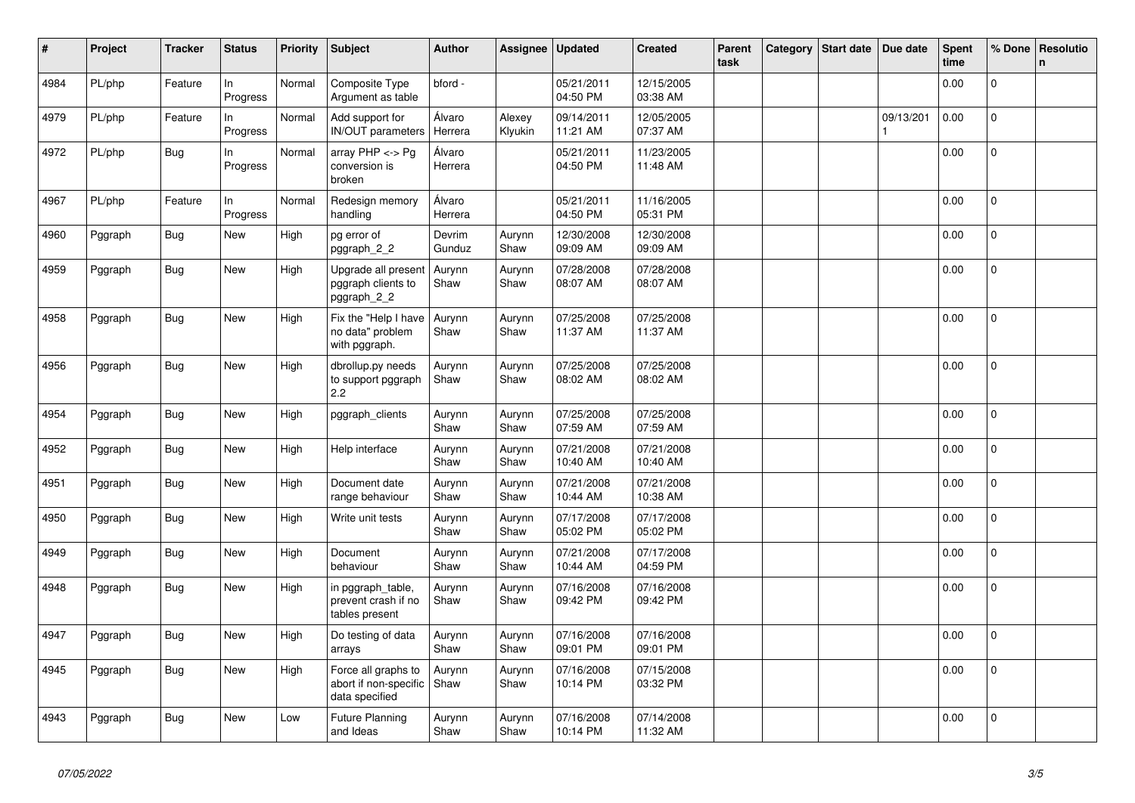| #    | Project | <b>Tracker</b> | <b>Status</b>   | <b>Priority</b> | <b>Subject</b>                                                 | <b>Author</b>     | Assignee          | <b>Updated</b>         | <b>Created</b>         | Parent<br>task | Category | Start date | Due date  | Spent<br>time | % Done         | Resolutio<br>n |
|------|---------|----------------|-----------------|-----------------|----------------------------------------------------------------|-------------------|-------------------|------------------------|------------------------|----------------|----------|------------|-----------|---------------|----------------|----------------|
| 4984 | PL/php  | Feature        | ln.<br>Progress | Normal          | Composite Type<br>Argument as table                            | bford -           |                   | 05/21/2011<br>04:50 PM | 12/15/2005<br>03:38 AM |                |          |            |           | 0.00          | $\Omega$       |                |
| 4979 | PL/php  | Feature        | In<br>Progress  | Normal          | Add support for<br>IN/OUT parameters                           | Álvaro<br>Herrera | Alexey<br>Klyukin | 09/14/2011<br>11:21 AM | 12/05/2005<br>07:37 AM |                |          |            | 09/13/201 | 0.00          | $\mathbf 0$    |                |
| 4972 | PL/php  | <b>Bug</b>     | In<br>Progress  | Normal          | array $PHP \lt\gt P$ g<br>conversion is<br>broken              | Álvaro<br>Herrera |                   | 05/21/2011<br>04:50 PM | 11/23/2005<br>11:48 AM |                |          |            |           | 0.00          | 0              |                |
| 4967 | PL/php  | Feature        | ln.<br>Progress | Normal          | Redesign memory<br>handling                                    | Álvaro<br>Herrera |                   | 05/21/2011<br>04:50 PM | 11/16/2005<br>05:31 PM |                |          |            |           | 0.00          | $\mathbf 0$    |                |
| 4960 | Pggraph | Bug            | New             | High            | pg error of<br>pggraph 2 2                                     | Devrim<br>Gunduz  | Aurynn<br>Shaw    | 12/30/2008<br>09:09 AM | 12/30/2008<br>09:09 AM |                |          |            |           | 0.00          | $\mathbf{0}$   |                |
| 4959 | Pggraph | <b>Bug</b>     | New             | High            | Upgrade all present<br>pggraph clients to<br>pggraph_2_2       | Aurynn<br>Shaw    | Aurynn<br>Shaw    | 07/28/2008<br>08:07 AM | 07/28/2008<br>08:07 AM |                |          |            |           | 0.00          | $\mathbf 0$    |                |
| 4958 | Pggraph | <b>Bug</b>     | New             | High            | Fix the "Help I have<br>no data" problem<br>with pggraph.      | Aurynn<br>Shaw    | Aurynn<br>Shaw    | 07/25/2008<br>11:37 AM | 07/25/2008<br>11:37 AM |                |          |            |           | 0.00          | $\mathbf 0$    |                |
| 4956 | Pggraph | <b>Bug</b>     | New             | High            | dbrollup.py needs<br>to support pggraph<br>2.2                 | Aurynn<br>Shaw    | Aurynn<br>Shaw    | 07/25/2008<br>08:02 AM | 07/25/2008<br>08:02 AM |                |          |            |           | 0.00          | 0              |                |
| 4954 | Pggraph | Bug            | <b>New</b>      | High            | pggraph clients                                                | Aurynn<br>Shaw    | Aurynn<br>Shaw    | 07/25/2008<br>07:59 AM | 07/25/2008<br>07:59 AM |                |          |            |           | 0.00          | $\mathbf 0$    |                |
| 4952 | Pggraph | Bug            | New             | High            | Help interface                                                 | Aurynn<br>Shaw    | Aurynn<br>Shaw    | 07/21/2008<br>10:40 AM | 07/21/2008<br>10:40 AM |                |          |            |           | 0.00          | 0              |                |
| 4951 | Pggraph | <b>Bug</b>     | New             | High            | Document date<br>range behaviour                               | Aurynn<br>Shaw    | Aurynn<br>Shaw    | 07/21/2008<br>10:44 AM | 07/21/2008<br>10:38 AM |                |          |            |           | 0.00          | $\mathbf{0}$   |                |
| 4950 | Pggraph | <b>Bug</b>     | New             | High            | Write unit tests                                               | Aurynn<br>Shaw    | Aurynn<br>Shaw    | 07/17/2008<br>05:02 PM | 07/17/2008<br>05:02 PM |                |          |            |           | 0.00          | $\overline{0}$ |                |
| 4949 | Pggraph | <b>Bug</b>     | <b>New</b>      | High            | Document<br>behaviour                                          | Aurynn<br>Shaw    | Aurynn<br>Shaw    | 07/21/2008<br>10:44 AM | 07/17/2008<br>04:59 PM |                |          |            |           | 0.00          | $\Omega$       |                |
| 4948 | Pggraph | <b>Bug</b>     | New             | High            | in pggraph_table,<br>prevent crash if no<br>tables present     | Aurynn<br>Shaw    | Aurynn<br>Shaw    | 07/16/2008<br>09:42 PM | 07/16/2008<br>09:42 PM |                |          |            |           | 0.00          | 0              |                |
| 4947 | Pggraph | <b>Bug</b>     | <b>New</b>      | High            | Do testing of data<br>arrays                                   | Aurynn<br>Shaw    | Aurynn<br>Shaw    | 07/16/2008<br>09:01 PM | 07/16/2008<br>09:01 PM |                |          |            |           | 0.00          | $\mathbf{0}$   |                |
| 4945 | Pggraph | Bug            | New             | High            | Force all graphs to<br>abort if non-specific<br>data specified | Aurynn<br>Shaw    | Aurynn<br>Shaw    | 07/16/2008<br>10:14 PM | 07/15/2008<br>03:32 PM |                |          |            |           | 0.00          | $\mathbf{0}$   |                |
| 4943 | Pggraph | <b>Bug</b>     | New             | Low             | <b>Future Planning</b><br>and Ideas                            | Aurynn<br>Shaw    | Aurynn<br>Shaw    | 07/16/2008<br>10:14 PM | 07/14/2008<br>11:32 AM |                |          |            |           | 0.00          | $\mathbf 0$    |                |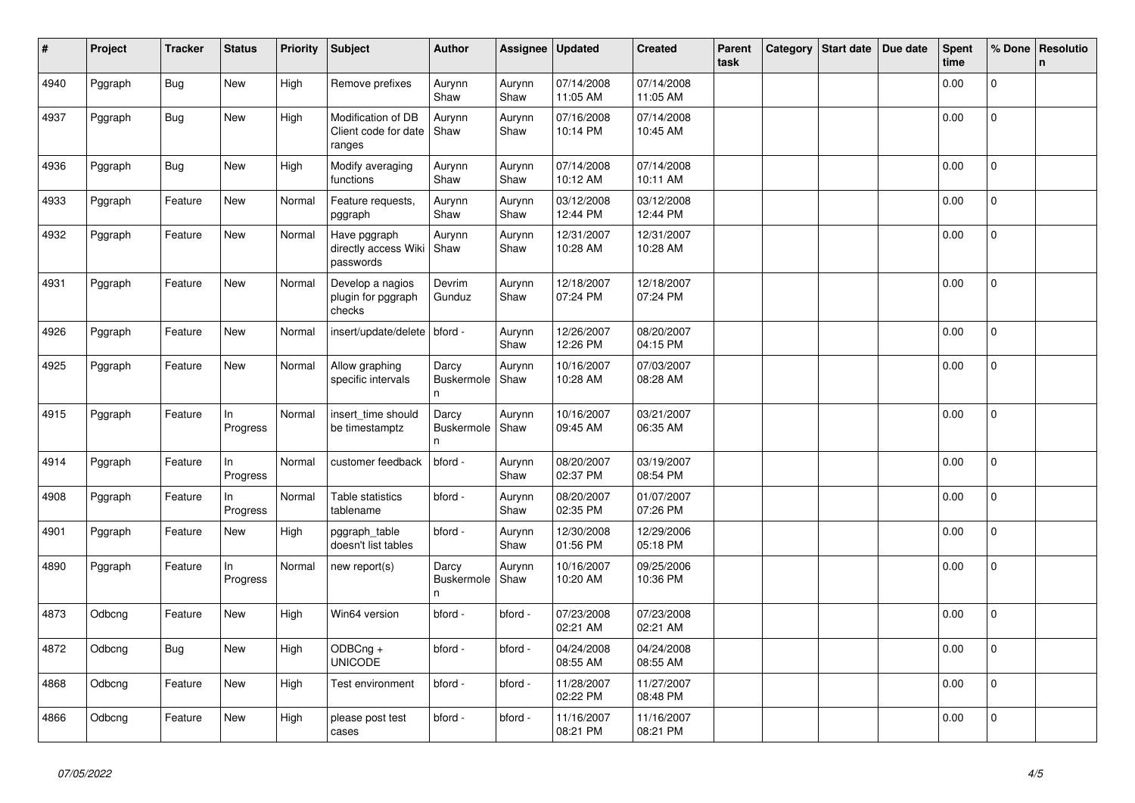| #    | Project | <b>Tracker</b> | <b>Status</b>   | <b>Priority</b> | Subject                                              | Author                          | Assignee       | <b>Updated</b>         | <b>Created</b>         | Parent<br>task | Category | Start date | Due date | <b>Spent</b><br>time | % Done         | Resolutio<br>$\mathsf{n}$ |
|------|---------|----------------|-----------------|-----------------|------------------------------------------------------|---------------------------------|----------------|------------------------|------------------------|----------------|----------|------------|----------|----------------------|----------------|---------------------------|
| 4940 | Pggraph | <b>Bug</b>     | New             | High            | Remove prefixes                                      | Aurynn<br>Shaw                  | Aurynn<br>Shaw | 07/14/2008<br>11:05 AM | 07/14/2008<br>11:05 AM |                |          |            |          | 0.00                 | $\mathbf 0$    |                           |
| 4937 | Pggraph | <b>Bug</b>     | <b>New</b>      | High            | Modification of DB<br>Client code for date<br>ranges | Aurynn<br>Shaw                  | Aurynn<br>Shaw | 07/16/2008<br>10:14 PM | 07/14/2008<br>10:45 AM |                |          |            |          | 0.00                 | $\overline{0}$ |                           |
| 4936 | Pggraph | <b>Bug</b>     | New             | High            | Modify averaging<br>functions                        | Aurynn<br>Shaw                  | Aurynn<br>Shaw | 07/14/2008<br>10:12 AM | 07/14/2008<br>10:11 AM |                |          |            |          | 0.00                 | $\mathbf{0}$   |                           |
| 4933 | Pggraph | Feature        | New             | Normal          | Feature requests,<br>pggraph                         | Aurynn<br>Shaw                  | Aurynn<br>Shaw | 03/12/2008<br>12:44 PM | 03/12/2008<br>12:44 PM |                |          |            |          | 0.00                 | $\mathbf{0}$   |                           |
| 4932 | Pggraph | Feature        | New             | Normal          | Have pggraph<br>directly access Wiki<br>passwords    | Aurynn<br>Shaw                  | Aurynn<br>Shaw | 12/31/2007<br>10:28 AM | 12/31/2007<br>10:28 AM |                |          |            |          | 0.00                 | $\overline{0}$ |                           |
| 4931 | Pggraph | Feature        | New             | Normal          | Develop a nagios<br>plugin for pggraph<br>checks     | Devrim<br>Gunduz                | Aurynn<br>Shaw | 12/18/2007<br>07:24 PM | 12/18/2007<br>07:24 PM |                |          |            |          | 0.00                 | 0              |                           |
| 4926 | Pggraph | Feature        | New             | Normal          | insert/update/delete   bford -                       |                                 | Aurynn<br>Shaw | 12/26/2007<br>12:26 PM | 08/20/2007<br>04:15 PM |                |          |            |          | 0.00                 | $\Omega$       |                           |
| 4925 | Pggraph | Feature        | New             | Normal          | Allow graphing<br>specific intervals                 | Darcy<br><b>Buskermole</b><br>n | Aurynn<br>Shaw | 10/16/2007<br>10:28 AM | 07/03/2007<br>08:28 AM |                |          |            |          | 0.00                 | $\Omega$       |                           |
| 4915 | Pggraph | Feature        | ln.<br>Progress | Normal          | insert_time should<br>be timestamptz                 | Darcy<br>Buskermole<br>n        | Aurynn<br>Shaw | 10/16/2007<br>09:45 AM | 03/21/2007<br>06:35 AM |                |          |            |          | 0.00                 | $\overline{0}$ |                           |
| 4914 | Pggraph | Feature        | In<br>Progress  | Normal          | customer feedback                                    | bford -                         | Aurynn<br>Shaw | 08/20/2007<br>02:37 PM | 03/19/2007<br>08:54 PM |                |          |            |          | 0.00                 | $\Omega$       |                           |
| 4908 | Pggraph | Feature        | In<br>Progress  | Normal          | Table statistics<br>tablename                        | bford -                         | Aurynn<br>Shaw | 08/20/2007<br>02:35 PM | 01/07/2007<br>07:26 PM |                |          |            |          | 0.00                 | $\mathbf{0}$   |                           |
| 4901 | Pggraph | Feature        | New             | High            | pggraph table<br>doesn't list tables                 | bford -                         | Aurynn<br>Shaw | 12/30/2008<br>01:56 PM | 12/29/2006<br>05:18 PM |                |          |            |          | 0.00                 | 0              |                           |
| 4890 | Pggraph | Feature        | In<br>Progress  | Normal          | new report(s)                                        | Darcy<br>Buskermole<br>n.       | Aurynn<br>Shaw | 10/16/2007<br>10:20 AM | 09/25/2006<br>10:36 PM |                |          |            |          | 0.00                 | 0              |                           |
| 4873 | Odbcng  | Feature        | New             | High            | Win64 version                                        | bford -                         | bford -        | 07/23/2008<br>02:21 AM | 07/23/2008<br>02:21 AM |                |          |            |          | 0.00                 | $\mathbf 0$    |                           |
| 4872 | Odbcng  | <b>Bug</b>     | New             | High            | ODBCng +<br><b>UNICODE</b>                           | bford -                         | bford -        | 04/24/2008<br>08:55 AM | 04/24/2008<br>08:55 AM |                |          |            |          | 0.00                 | $\overline{0}$ |                           |
| 4868 | Odbcng  | Feature        | New             | High            | Test environment                                     | bford -                         | bford -        | 11/28/2007<br>02:22 PM | 11/27/2007<br>08:48 PM |                |          |            |          | 0.00                 | $\mathbf{0}$   |                           |
| 4866 | Odbcng  | Feature        | New             | High            | please post test<br>cases                            | bford -                         | bford -        | 11/16/2007<br>08:21 PM | 11/16/2007<br>08:21 PM |                |          |            |          | 0.00                 | 0              |                           |